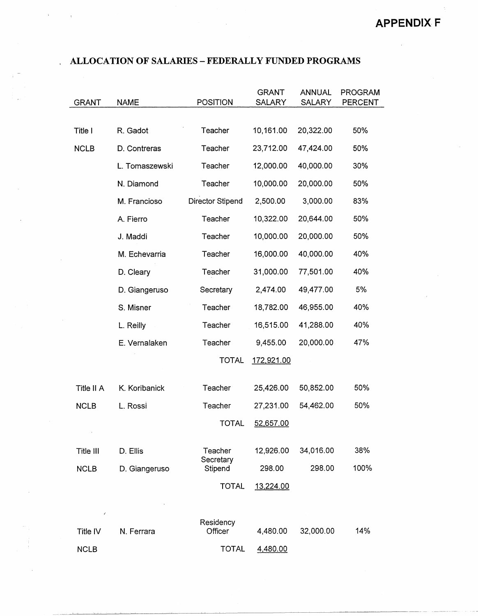| <b>GRANT</b>  | <b>NAME</b>    | <b>POSITION</b>      | <b>GRANT</b><br><b>SALARY</b> | <b>ANNUAL</b><br><b>SALARY</b> | <b>PROGRAM</b><br>PERCENT |
|---------------|----------------|----------------------|-------------------------------|--------------------------------|---------------------------|
|               |                |                      |                               |                                |                           |
| Title I       | R. Gadot       | Teacher              | 10,161.00                     | 20,322.00                      | 50%                       |
| <b>NCLB</b>   | D. Contreras   | Teacher              | 23,712.00                     | 47,424.00                      | 50%                       |
|               | L. Tomaszewski | Teacher              | 12,000.00                     | 40,000.00                      | 30%                       |
|               | N. Diamond     | Teacher              | 10,000.00                     | 20,000.00                      | 50%                       |
|               | M. Francioso   | Director Stipend     | 2,500.00                      | 3,000.00                       | 83%                       |
|               | A. Fierro      | Teacher              | 10,322.00                     | 20,644.00                      | 50%                       |
|               | J. Maddi       | Teacher              | 10,000.00                     | 20,000.00                      | 50%                       |
|               | M. Echevarria  | Teacher              | 16,000.00                     | 40,000.00                      | 40%                       |
|               | D. Cleary      | Teacher              | 31,000.00                     | 77,501.00                      | 40%                       |
|               | D. Giangeruso  | Secretary            | 2,474.00                      | 49,477.00                      | 5%                        |
|               | S. Misner      | Teacher              | 18,782.00                     | 46,955.00                      | 40%                       |
|               | L. Reilly      | Teacher              | 16,515.00                     | 41,288.00                      | 40%                       |
|               | E. Vernalaken  | Teacher              | 9,455.00                      | 20,000.00                      | 47%                       |
|               |                | <b>TOTAL</b>         | 172,921.00                    |                                |                           |
|               |                |                      |                               |                                |                           |
| Title II A    | K. Koribanick  | Teacher              | 25,426.00                     | 50,852.00                      | 50%                       |
| <b>NCLB</b>   | L. Rossi       | Teacher              | 27,231.00                     | 54,462.00                      | 50%                       |
|               |                | <b>TOTAL</b>         | 52,657.00                     |                                |                           |
|               |                |                      |                               |                                |                           |
| Title III     | D. Ellis       | Teacher<br>Secretary | 12,926.00                     | 34,016.00                      | 38%                       |
| <b>NCLB</b>   | D. Giangeruso  | Stipend              | 298.00                        | 298.00                         | 100%                      |
|               |                | <b>TOTAL</b>         | 13,224.00                     |                                |                           |
|               |                |                      |                               |                                |                           |
| é<br>Title IV | N. Ferrara     | Residency<br>Officer | 4,480.00                      | 32,000.00                      | 14%                       |
|               |                |                      |                               |                                |                           |
| <b>NCLB</b>   |                | TOTAL                | 4,480.00                      |                                |                           |

NCLB

 $\hat{\mathbf{r}}$ 

 $\sim$ 

## . **ALLOCATION OF SALARIES** - **FEDERALLY FUNDED PROGRAMS**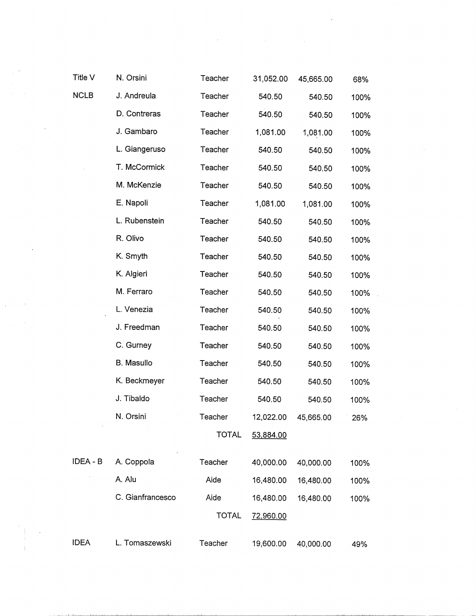| ۰,<br>× |  |
|---------|--|
|         |  |

 $\bar{z}$ 

 $\ddot{\phantom{0}}$ 

 $\mathcal{L}^{(1)}$  and  $\mathcal{L}^{(2)}$ 

a indicate de la

| Title V  | N. Orsini        | Teacher      | 31,052.00 | 45,665.00 | 68%  |
|----------|------------------|--------------|-----------|-----------|------|
| NCLB     | J. Andreula      | Teacher      | 540.50    | 540.50    | 100% |
|          | D. Contreras     | Teacher      | 540.50    | 540.50    | 100% |
|          | J. Gambaro       | Teacher      | 1,081.00  | 1,081.00  | 100% |
|          | L. Giangeruso    | Teacher      | 540.50    | 540.50    | 100% |
|          | T. McCormick     | Teacher      | 540.50    | 540.50    | 100% |
|          | M. McKenzie      | Teacher      | 540.50    | 540.50    | 100% |
|          | E. Napoli        | Teacher      | 1,081.00  | 1,081.00  | 100% |
|          | L. Rubenstein    | Teacher      | 540.50    | 540.50    | 100% |
|          | R. Olivo         | Teacher      | 540.50    | 540.50    | 100% |
|          | K. Smyth         | Teacher      | 540.50    | 540.50    | 100% |
|          | K. Algieri       | Teacher      | 540.50    | 540.50    | 100% |
|          | M. Ferraro       | Teacher      | 540.50    | 540.50    | 100% |
|          | L. Venezia       | Teacher      | 540.50    | 540.50    | 100% |
|          | J. Freedman      | Teacher      | 540.50    | 540.50    | 100% |
|          | C. Gurney        | Teacher      | 540.50    | 540.50    | 100% |
|          | B. Masullo       | Teacher      | 540.50    | 540.50    | 100% |
|          | K. Beckmeyer     | Teacher      | 540.50    | 540.50    | 100% |
|          | J. Tibaldo       | Teacher      | 540.50    | 540.50    | 100% |
|          | N. Orsini        | Teacher      | 12,022.00 | 45,665.00 | 26%  |
|          |                  | <b>TOTAL</b> | 53,884.00 |           |      |
| IDEA - B | A. Coppola       | Teacher      | 40,000.00 | 40,000.00 | 100% |
|          | A. Alu           | Aide         | 16,480.00 | 16,480.00 | 100% |
|          | C. Gianfrancesco | Aide         | 16,480.00 | 16,480.00 | 100% |
|          |                  | <b>TOTAL</b> | 72,960.00 |           |      |
| IDEA     | L. Tomaszewski   | Teacher      | 19,600.00 | 40,000.00 | 49%  |

 $\ddot{\phantom{a}}$ 

 $\mathcal{L}(\mathcal{L})$  and  $\mathcal{L}(\mathcal{L})$  . In the  $\mathcal{L}(\mathcal{L})$ 

 $\bar{z}$